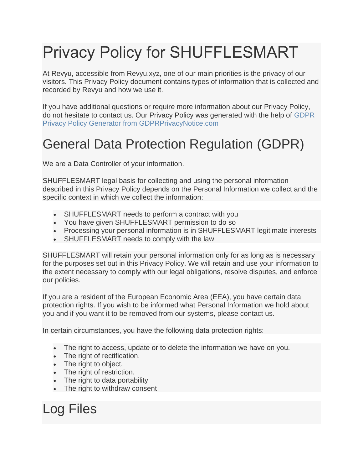# Privacy Policy for SHUFFLESMART

At Revyu, accessible from Revyu.xyz, one of our main priorities is the privacy of our visitors. This Privacy Policy document contains types of information that is collected and recorded by Revyu and how we use it.

If you have additional questions or require more information about our Privacy Policy, do not hesitate to contact us. Our Privacy Policy was generated with the help of GDPR Privacy Policy Generator from GDPRPrivacyNotice.com

#### General Data Protection Regulation (GDPR)

We are a Data Controller of your information.

SHUFFLESMART legal basis for collecting and using the personal information described in this Privacy Policy depends on the Personal Information we collect and the specific context in which we collect the information:

- SHUFFLESMART needs to perform a contract with you
- You have given SHUFFLESMART permission to do so
- Processing your personal information is in SHUFFLESMART legitimate interests
- SHUFFLESMART needs to comply with the law

SHUFFLESMART will retain your personal information only for as long as is necessary for the purposes set out in this Privacy Policy. We will retain and use your information to the extent necessary to comply with our legal obligations, resolve disputes, and enforce our policies.

If you are a resident of the European Economic Area (EEA), you have certain data protection rights. If you wish to be informed what Personal Information we hold about you and if you want it to be removed from our systems, please contact us.

In certain circumstances, you have the following data protection rights:

- The right to access, update or to delete the information we have on you.
- The right of rectification.
- The right to object.
- The right of restriction.
- The right to data portability
- The right to withdraw consent

Log Files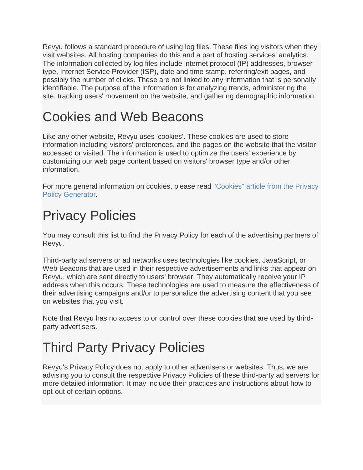Revyu follows a standard procedure of using log files. These files log visitors when they visit websites. All hosting companies do this and a part of hosting services' analytics. The information collected by log files include internet protocol (IP) addresses, browser type, Internet Service Provider (ISP), date and time stamp, referring/exit pages, and possibly the number of clicks. These are not linked to any information that is personally identifiable. The purpose of the information is for analyzing trends, administering the site, tracking users' movement on the website, and gathering demographic information.

### Cookies and Web Beacons

Like any other website, Revyu uses 'cookies'. These cookies are used to store information including visitors' preferences, and the pages on the website that the visitor accessed or visited. The information is used to optimize the users' experience by customizing our web page content based on visitors' browser type and/or other information.

For more general information on cookies, please read "Cookies" article from the Privacy Policy Generator.

# Privacy Policies

You may consult this list to find the Privacy Policy for each of the advertising partners of Revyu.

Third-party ad servers or ad networks uses technologies like cookies, JavaScript, or Web Beacons that are used in their respective advertisements and links that appear on Revyu, which are sent directly to users' browser. They automatically receive your IP address when this occurs. These technologies are used to measure the effectiveness of their advertising campaigns and/or to personalize the advertising content that you see on websites that you visit.

Note that Revyu has no access to or control over these cookies that are used by thirdparty advertisers.

# Third Party Privacy Policies

Revyu's Privacy Policy does not apply to other advertisers or websites. Thus, we are advising you to consult the respective Privacy Policies of these third-party ad servers for more detailed information. It may include their practices and instructions about how to opt-out of certain options.